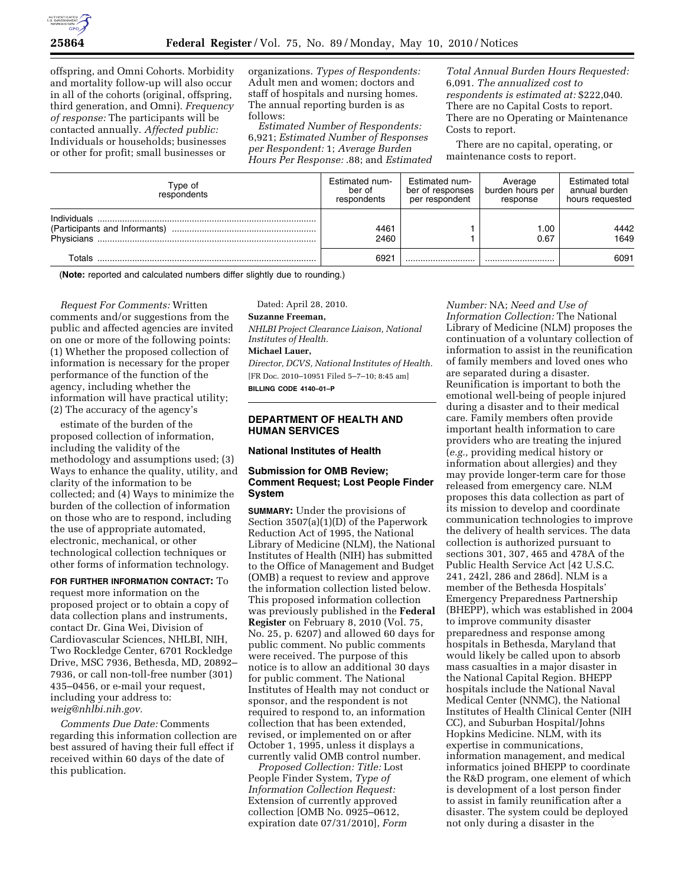

offspring, and Omni Cohorts. Morbidity and mortality follow-up will also occur in all of the cohorts (original, offspring, third generation, and Omni). *Frequency of response:* The participants will be contacted annually. *Affected public:*  Individuals or households; businesses or other for profit; small businesses or

organizations. *Types of Respondents:*  Adult men and women; doctors and staff of hospitals and nursing homes. The annual reporting burden is as follows:

*Estimated Number of Respondents:*  6,921; *Estimated Number of Responses per Respondent:* 1; *Average Burden Hours Per Response:* .88; and *Estimated* 

*Total Annual Burden Hours Requested:*  6,091. *The annualized cost to respondents is estimated at:* \$222,040. There are no Capital Costs to report. There are no Operating or Maintenance Costs to report.

There are no capital, operating, or maintenance costs to report.

| Type of<br>respondents    | Estimated num-<br>ber of<br>respondents | Estimated num-<br>ber of responses<br>per respondent | Average<br>burden hours per<br>response | <b>Estimated total</b><br>annual burden<br>hours requested |
|---------------------------|-----------------------------------------|------------------------------------------------------|-----------------------------------------|------------------------------------------------------------|
| Individuals<br>Physicians | 4461<br>2460                            |                                                      | .00<br>0.67                             | 4442<br>1649                                               |
| Totals                    | 6921                                    |                                                      |                                         | 6091                                                       |

(**Note:** reported and calculated numbers differ slightly due to rounding.)

*Request For Comments:* Written comments and/or suggestions from the public and affected agencies are invited on one or more of the following points: (1) Whether the proposed collection of information is necessary for the proper performance of the function of the agency, including whether the information will have practical utility; (2) The accuracy of the agency's

estimate of the burden of the proposed collection of information, including the validity of the methodology and assumptions used; (3) Ways to enhance the quality, utility, and clarity of the information to be collected; and (4) Ways to minimize the burden of the collection of information on those who are to respond, including the use of appropriate automated, electronic, mechanical, or other technological collection techniques or other forms of information technology.

**FOR FURTHER INFORMATION CONTACT:** To request more information on the proposed project or to obtain a copy of data collection plans and instruments, contact Dr. Gina Wei, Division of Cardiovascular Sciences, NHLBI, NIH, Two Rockledge Center, 6701 Rockledge Drive, MSC 7936, Bethesda, MD, 20892– 7936, or call non-toll-free number (301) 435–0456, or e-mail your request, including your address to: *weig@nhlbi.nih.gov.* 

*Comments Due Date:* Comments regarding this information collection are best assured of having their full effect if received within 60 days of the date of this publication.

Dated: April 28, 2010.

# **Suzanne Freeman,**

*NHLBI Project Clearance Liaison, National Institutes of Health.* 

#### **Michael Lauer,**

*Director, DCVS, National Institutes of Health.*  [FR Doc. 2010–10951 Filed 5–7–10; 8:45 am] **BILLING CODE 4140–01–P** 

#### **DEPARTMENT OF HEALTH AND HUMAN SERVICES**

#### **National Institutes of Health**

#### **Submission for OMB Review; Comment Request; Lost People Finder System**

**SUMMARY:** Under the provisions of Section 3507(a)(1)(D) of the Paperwork Reduction Act of 1995, the National Library of Medicine (NLM), the National Institutes of Health (NIH) has submitted to the Office of Management and Budget (OMB) a request to review and approve the information collection listed below. This proposed information collection was previously published in the **Federal Register** on February 8, 2010 (Vol. 75, No. 25, p. 6207) and allowed 60 days for public comment. No public comments were received. The purpose of this notice is to allow an additional 30 days for public comment. The National Institutes of Health may not conduct or sponsor, and the respondent is not required to respond to, an information collection that has been extended, revised, or implemented on or after October 1, 1995, unless it displays a currently valid OMB control number.

*Proposed Collection: Title:* Lost People Finder System, *Type of Information Collection Request:*  Extension of currently approved collection [OMB No. 0925–0612, expiration date 07/31/2010], *Form* 

*Number:* NA; *Need and Use of Information Collection:* The National Library of Medicine (NLM) proposes the continuation of a voluntary collection of information to assist in the reunification of family members and loved ones who are separated during a disaster. Reunification is important to both the emotional well-being of people injured during a disaster and to their medical care. Family members often provide important health information to care providers who are treating the injured (*e.g.,* providing medical history or information about allergies) and they may provide longer-term care for those released from emergency care. NLM proposes this data collection as part of its mission to develop and coordinate communication technologies to improve the delivery of health services. The data collection is authorized pursuant to sections 301, 307, 465 and 478A of the Public Health Service Act [42 U.S.C. 241, 242l, 286 and 286d]. NLM is a member of the Bethesda Hospitals' Emergency Preparedness Partnership (BHEPP), which was established in 2004 to improve community disaster preparedness and response among hospitals in Bethesda, Maryland that would likely be called upon to absorb mass casualties in a major disaster in the National Capital Region. BHEPP hospitals include the National Naval Medical Center (NNMC), the National Institutes of Health Clinical Center (NIH CC), and Suburban Hospital/Johns Hopkins Medicine. NLM, with its expertise in communications, information management, and medical informatics joined BHEPP to coordinate the R&D program, one element of which is development of a lost person finder to assist in family reunification after a disaster. The system could be deployed not only during a disaster in the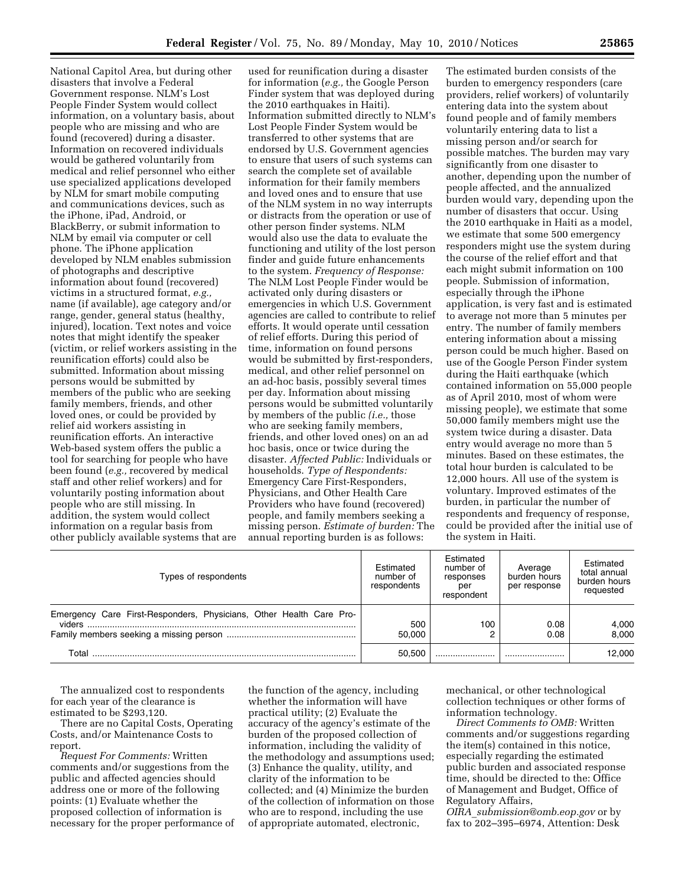National Capitol Area, but during other disasters that involve a Federal Government response. NLM's Lost People Finder System would collect information, on a voluntary basis, about people who are missing and who are found (recovered) during a disaster. Information on recovered individuals would be gathered voluntarily from medical and relief personnel who either use specialized applications developed by NLM for smart mobile computing and communications devices, such as the iPhone, iPad, Android, or BlackBerry, or submit information to NLM by email via computer or cell phone. The iPhone application developed by NLM enables submission of photographs and descriptive information about found (recovered) victims in a structured format, *e.g.,*  name (if available), age category and/or range, gender, general status (healthy, injured), location. Text notes and voice notes that might identify the speaker (victim, or relief workers assisting in the reunification efforts) could also be submitted. Information about missing persons would be submitted by members of the public who are seeking family members, friends, and other loved ones, or could be provided by relief aid workers assisting in reunification efforts. An interactive Web-based system offers the public a tool for searching for people who have been found (*e.g.,* recovered by medical staff and other relief workers) and for voluntarily posting information about people who are still missing. In addition, the system would collect information on a regular basis from other publicly available systems that are

used for reunification during a disaster for information (*e.g.,* the Google Person Finder system that was deployed during the 2010 earthquakes in Haiti). Information submitted directly to NLM's Lost People Finder System would be transferred to other systems that are endorsed by U.S. Government agencies to ensure that users of such systems can search the complete set of available information for their family members and loved ones and to ensure that use of the NLM system in no way interrupts or distracts from the operation or use of other person finder systems. NLM would also use the data to evaluate the functioning and utility of the lost person finder and guide future enhancements to the system. *Frequency of Response:*  The NLM Lost People Finder would be activated only during disasters or emergencies in which U.S. Government agencies are called to contribute to relief efforts. It would operate until cessation of relief efforts. During this period of time, information on found persons would be submitted by first-responders, medical, and other relief personnel on an ad-hoc basis, possibly several times per day. Information about missing persons would be submitted voluntarily by members of the public *(i.e.,* those who are seeking family members, friends, and other loved ones) on an ad hoc basis, once or twice during the disaster. *Affected Public:* Individuals or households. *Type of Respondents:*  Emergency Care First-Responders, Physicians, and Other Health Care Providers who have found (recovered) people, and family members seeking a missing person. *Estimate of burden:* The annual reporting burden is as follows:

The estimated burden consists of the burden to emergency responders (care providers, relief workers) of voluntarily entering data into the system about found people and of family members voluntarily entering data to list a missing person and/or search for possible matches. The burden may vary significantly from one disaster to another, depending upon the number of people affected, and the annualized burden would vary, depending upon the number of disasters that occur. Using the 2010 earthquake in Haiti as a model, we estimate that some 500 emergency responders might use the system during the course of the relief effort and that each might submit information on 100 people. Submission of information, especially through the iPhone application, is very fast and is estimated to average not more than 5 minutes per entry. The number of family members entering information about a missing person could be much higher. Based on use of the Google Person Finder system during the Haiti earthquake (which contained information on 55,000 people as of April 2010, most of whom were missing people), we estimate that some 50,000 family members might use the system twice during a disaster. Data entry would average no more than 5 minutes. Based on these estimates, the total hour burden is calculated to be 12,000 hours. All use of the system is voluntary. Improved estimates of the burden, in particular the number of respondents and frequency of response, could be provided after the initial use of the system in Haiti.

| Types of respondents                                                          | Estimated<br>number of<br>respondents | Estimated<br>number of<br>responses<br>per<br>respondent | Average<br>burden hours<br>per response | Estimated<br>total annual<br>burden hours<br>requested |
|-------------------------------------------------------------------------------|---------------------------------------|----------------------------------------------------------|-----------------------------------------|--------------------------------------------------------|
| Emergency Care First-Responders, Physicians, Other Health Care Pro-<br>viders | 500                                   | 100                                                      | 0.08                                    | 4,000                                                  |
|                                                                               | 50.000                                |                                                          | 0.08                                    | 8.000                                                  |
| Total                                                                         | 50.500                                |                                                          |                                         | 12.000                                                 |

The annualized cost to respondents for each year of the clearance is estimated to be \$293,120.

There are no Capital Costs, Operating Costs, and/or Maintenance Costs to report.

*Request For Comments:* Written comments and/or suggestions from the public and affected agencies should address one or more of the following points: (1) Evaluate whether the proposed collection of information is necessary for the proper performance of

the function of the agency, including whether the information will have practical utility; (2) Evaluate the accuracy of the agency's estimate of the burden of the proposed collection of information, including the validity of the methodology and assumptions used; (3) Enhance the quality, utility, and clarity of the information to be collected; and (4) Minimize the burden of the collection of information on those who are to respond, including the use of appropriate automated, electronic,

mechanical, or other technological collection techniques or other forms of information technology.

*Direct Comments to OMB:* Written comments and/or suggestions regarding the item(s) contained in this notice, especially regarding the estimated public burden and associated response time, should be directed to the: Office of Management and Budget, Office of Regulatory Affairs,

*OIRA*\_*submission@omb.eop.gov* or by fax to 202–395–6974, Attention: Desk